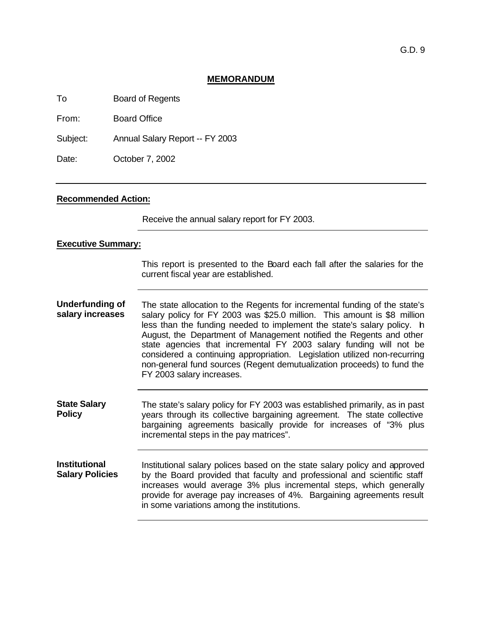## **MEMORANDUM**

To Board of Regents

From: Board Office

Subject: Annual Salary Report -- FY 2003

Date: **October 7, 2002** 

## **Recommended Action:**

Receive the annual salary report for FY 2003.

## **Executive Summary:**

This report is presented to the Board each fall after the salaries for the current fiscal year are established.

**Underfunding of salary increases** The state allocation to the Regents for incremental funding of the state's salary policy for FY 2003 was \$25.0 million. This amount is \$8 million less than the funding needed to implement the state's salary policy. h August, the Department of Management notified the Regents and other state agencies that incremental FY 2003 salary funding will not be considered a continuing appropriation. Legislation utilized non-recurring non-general fund sources (Regent demutualization proceeds) to fund the FY 2003 salary increases.

**State Salary Policy** The state's salary policy for FY 2003 was established primarily, as in past years through its collective bargaining agreement. The state collective bargaining agreements basically provide for increases of "3% plus incremental steps in the pay matrices".

**Institutional Salary Policies** Institutional salary polices based on the state salary policy and approved by the Board provided that faculty and professional and scientific staff increases would average 3% plus incremental steps, which generally provide for average pay increases of 4%. Bargaining agreements result in some variations among the institutions.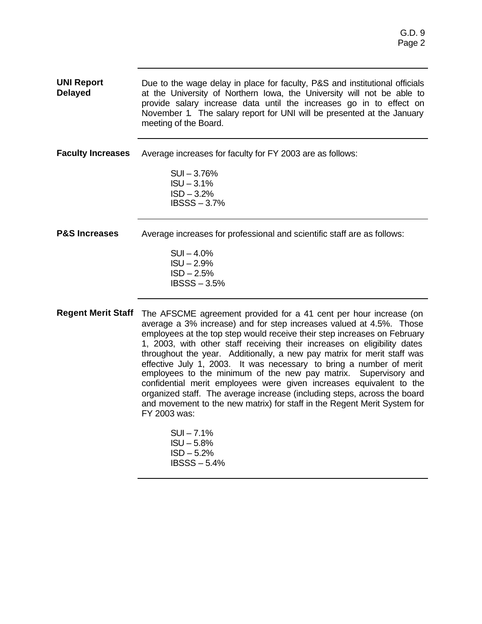| <b>UNI Report</b><br><b>Delayed</b> | Due to the wage delay in place for faculty, P&S and institutional officials<br>at the University of Northern Iowa, the University will not be able to<br>provide salary increase data until the increases go in to effect on<br>November 1. The salary report for UNI will be presented at the January<br>meeting of the Board. |
|-------------------------------------|---------------------------------------------------------------------------------------------------------------------------------------------------------------------------------------------------------------------------------------------------------------------------------------------------------------------------------|
| <b>Faculty Increases</b>            | Average increases for faculty for FY 2003 are as follows:<br>$SUI - 3.76%$<br>$ISU - 3.1%$<br>$ISD - 3.2%$                                                                                                                                                                                                                      |
|                                     | $IBSSS - 3.7%$                                                                                                                                                                                                                                                                                                                  |
| <b>P&amp;S Increases</b>            | Average increases for professional and scientific staff are as follows:<br>$SUI - 4.0%$<br>$ISU - 2.9%$<br>$ISD - 2.5%$<br>$IBSSS - 3.5%$                                                                                                                                                                                       |
|                                     | <b>Regent Merit Staff</b> The AFSCME agreement provided for a 41 cent per hour increase (on<br>average a 3% increase) and for step increases valued at 4.5%. Those<br>employees at the top step would receive their step increases on February                                                                                  |

1, 2003, with other staff receiving their increases on eligibility dates throughout the year. Additionally, a new pay matrix for merit staff was effective July 1, 2003. It was necessary to bring a number of merit employees to the minimum of the new pay matrix. Supervisory and confidential merit employees were given increases equivalent to the organized staff. The average increase (including steps, across the board and movement to the new matrix) for staff in the Regent Merit System for FY 2003 was: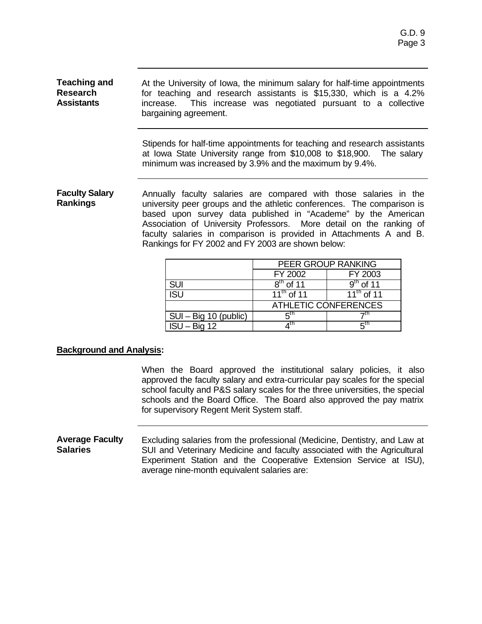| <b>Teaching and</b><br><b>Research</b><br><b>Assistants</b> | At the University of Iowa, the minimum salary for half-time appointments<br>for teaching and research assistants is \$15,330, which is a 4.2%<br>increase. This increase was negotiated pursuant to a collective<br>bargaining agreement.                                                                                                                                                                      |  |                             |                 |  |
|-------------------------------------------------------------|----------------------------------------------------------------------------------------------------------------------------------------------------------------------------------------------------------------------------------------------------------------------------------------------------------------------------------------------------------------------------------------------------------------|--|-----------------------------|-----------------|--|
|                                                             | Stipends for half-time appointments for teaching and research assistants<br>at lowa State University range from \$10,008 to \$18,900. The salary<br>minimum was increased by 3.9% and the maximum by 9.4%.                                                                                                                                                                                                     |  |                             |                 |  |
| <b>Faculty Salary</b><br><b>Rankings</b>                    | Annually faculty salaries are compared with those salaries in the<br>university peer groups and the athletic conferences. The comparison is<br>based upon survey data published in "Academe" by the American<br>Association of University Professors. More detail on the ranking of<br>faculty salaries in comparison is provided in Attachments A and B.<br>Rankings for FY 2002 and FY 2003 are shown below: |  |                             |                 |  |
|                                                             | PEER GROUP RANKING                                                                                                                                                                                                                                                                                                                                                                                             |  |                             |                 |  |
|                                                             |                                                                                                                                                                                                                                                                                                                                                                                                                |  | FY 2002                     | FY 2003         |  |
|                                                             | <b>SUI</b>                                                                                                                                                                                                                                                                                                                                                                                                     |  | $8th$ of 11                 | $9th$ of 11     |  |
|                                                             | <b>ISU</b>                                                                                                                                                                                                                                                                                                                                                                                                     |  | $11th$ of 11                | $11^{th}$ of 11 |  |
|                                                             |                                                                                                                                                                                                                                                                                                                                                                                                                |  | <b>ATHLETIC CONFERENCES</b> |                 |  |

 $\begin{array}{ccc} \hline \text{SUI} - \text{Big 10 (public)} & \begin{array}{c} 5^{\text{th}} \\ 1 \text{SU} - \text{Big 12} \end{array} & \begin{array}{c} 4^{\text{th}} \\ 4^{\text{th}} \end{array} \end{array}$ 

 $ISU - Big 12$ 

## **Background and Analysis:**

When the Board approved the institutional salary policies, it also approved the faculty salary and extra-curricular pay scales for the special school faculty and P&S salary scales for the three universities, the special schools and the Board Office. The Board also approved the pay matrix for supervisory Regent Merit System staff.

th  $\overline{7}$ 

th  $5$ 

 $7<sup>th</sup>$ 

 $5<sup>th</sup>$ 

#### **Average Faculty Salaries** Excluding salaries from the professional (Medicine, Dentistry, and Law at SUI and Veterinary Medicine and faculty associated with the Agricultural Experiment Station and the Cooperative Extension Service at ISU), average nine-month equivalent salaries are: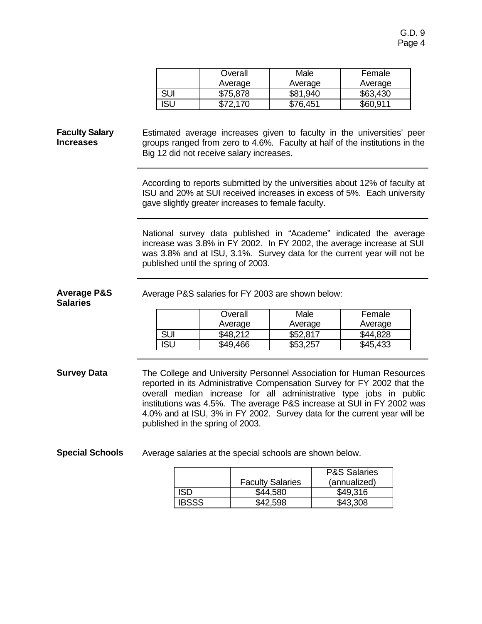| Overall  | Male     | Female   |  |
|----------|----------|----------|--|
| Average  | Average  | Average  |  |
| \$75,878 | \$81,940 | \$63,430 |  |
| \$72.170 | \$76.451 | \$60.911 |  |

#### **Faculty Salary Increases** Estimated average increases given to faculty in the universities' peer groups ranged from zero to 4.6%. Faculty at half of the institutions in the Big 12 did not receive salary increases.

According to reports submitted by the universities about 12% of faculty at ISU and 20% at SUI received increases in excess of 5%. Each university gave slightly greater increases to female faculty.

National survey data published in "Academe" indicated the average increase was 3.8% in FY 2002. In FY 2002, the average increase at SUI was 3.8% and at ISU, 3.1%. Survey data for the current year will not be published until the spring of 2003.

Average P&S salaries for FY 2003 are shown below:

### **Average P&S Salaries**

**Overall** Average Male Average Female Average SUI | \$48,212 | \$52,817 | \$44,828 ISU | \$49,466 | \$53,257 | \$45,433

**Survey Data** The College and University Personnel Association for Human Resources reported in its Administrative Compensation Survey for FY 2002 that the overall median increase for all administrative type jobs in public institutions was 4.5%. The average P&S increase at SUI in FY 2002 was 4.0% and at ISU, 3% in FY 2002. Survey data for the current year will be published in the spring of 2003.

**Special Schools** Average salaries at the special schools are shown below.

|       |                         | <b>P&amp;S Salaries</b> |  |
|-------|-------------------------|-------------------------|--|
|       | <b>Faculty Salaries</b> | (annualized)            |  |
| SD    | \$44,580                | \$49,316                |  |
| IBSSS | \$42.598                | \$43.308                |  |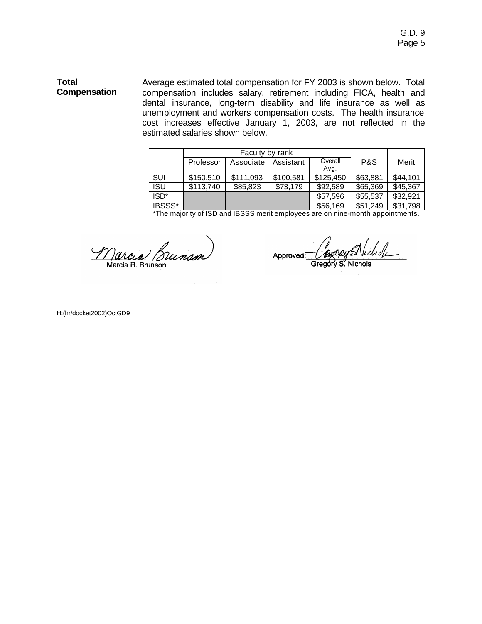### **Total Compensation** Average estimated total compensation for FY 2003 is shown below. Total compensation includes salary, retirement including FICA, health and dental insurance, long-term disability and life insurance as well as unemployment and workers compensation costs. The health insurance cost increases effective January 1, 2003, are not reflected in the estimated salaries shown below.

|            | Faculty by rank |           |           |                 |          |          |
|------------|-----------------|-----------|-----------|-----------------|----------|----------|
|            | Professor       | Associate | Assistant | Overall<br>Avg. | P&S      | Merit    |
| SUI        | \$150,510       | \$111,093 | \$100,581 | \$125,450       | \$63,881 | \$44,101 |
| <b>ISU</b> | \$113,740       | \$85,823  | \$73,179  | \$92,589        | \$65,369 | \$45,367 |
| ISD*       |                 |           |           | \$57,596        | \$55,537 | \$32,921 |
| IBSSS*     |                 |           |           | \$56,169        | \$51,249 | \$31,798 |

\*The majority of ISD and IBSSS merit employees are on nine-month appointments.

arcea Bunson Marcia R. Brunson

Bory Michel Approved: Gregory S. Nichols

H:(hr/docket2002)OctGD9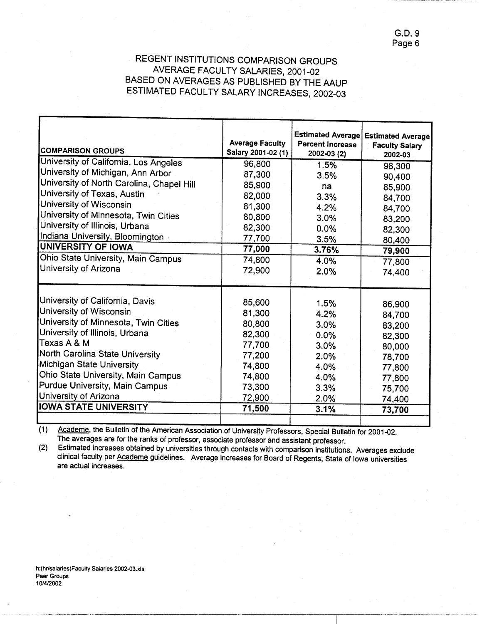G.D. 9 Page 6

## REGENT INSTITUTIONS COMPARISON GROUPS AVERAGE FACULTY SALARIES, 2001-02 BASED ON AVERAGES AS PUBLISHED BY THE AAUP ESTIMATED FACULTY SALARY INCREASES, 2002-03

| <b>COMPARISON GROUPS</b>                  | <b>Average Faculty</b><br>Salary 2001-02 (1) | <b>Estimated Average</b><br><b>Percent Increase</b><br>$2002 - 03(2)$ | <b>Estimated Average</b><br><b>Faculty Salary</b><br>2002-03 |
|-------------------------------------------|----------------------------------------------|-----------------------------------------------------------------------|--------------------------------------------------------------|
| University of California, Los Angeles     | 96,800                                       | 1.5%                                                                  | 98,300                                                       |
| University of Michigan, Ann Arbor         | 87,300                                       | 3.5%                                                                  | 90,400                                                       |
| University of North Carolina, Chapel Hill | 85,900                                       | na                                                                    | 85,900                                                       |
| University of Texas, Austin               | 82,000                                       | 3.3%                                                                  | 84,700                                                       |
| University of Wisconsin                   | 81,300                                       | 4.2%                                                                  | 84,700                                                       |
| University of Minnesota, Twin Cities      | 80,800                                       | 3.0%                                                                  | 83,200                                                       |
| University of Illinois, Urbana            | 82,300                                       | 0.0%                                                                  | 82,300                                                       |
| Indiana University, Bloomington           | 77,700                                       | 3.5%                                                                  | 80,400                                                       |
| <b>UNIVERSITY OF IOWA</b>                 | 77,000                                       | 3.76%                                                                 | 79,900                                                       |
| Ohio State University, Main Campus        | 74,800                                       | 4.0%                                                                  | 77,800                                                       |
| University of Arizona                     | 72,900                                       | 2.0%                                                                  | 74,400                                                       |
|                                           |                                              |                                                                       |                                                              |
| University of California, Davis           | 85,600                                       | 1.5%                                                                  | 86,900                                                       |
| University of Wisconsin                   | 81,300                                       | 4.2%                                                                  | 84,700                                                       |
| University of Minnesota, Twin Cities      | 80,800                                       | 3.0%                                                                  | 83,200                                                       |
| University of Illinois, Urbana            | 82,300                                       | 0.0%                                                                  | 82,300                                                       |
| Texas A & M                               | 77,700                                       | 3.0%                                                                  | 80,000                                                       |
| North Carolina State University           | 77,200                                       | 2.0%                                                                  | 78,700                                                       |
| Michigan State University                 | 74,800                                       | 4.0%                                                                  | 77,800                                                       |
| Ohio State University, Main Campus        | 74,800                                       | 4.0%                                                                  | 77,800                                                       |
| Purdue University, Main Campus            | 73,300                                       | 3.3%                                                                  | 75,700                                                       |
| University of Arizona                     | 72,900                                       | 2.0%                                                                  | 74,400                                                       |
| <b>IOWA STATE UNIVERSITY</b>              | 71,500                                       | 3.1%                                                                  | 73,700                                                       |
|                                           |                                              |                                                                       |                                                              |

Academe, the Bulletin of the American Association of University Professors, Special Bulletin for 2001-02.  $(1)$ The averages are for the ranks of professor, associate professor and assistant professor.

Estimated increases obtained by universities through contacts with comparison institutions. Averages exclude  $(2)$ clinical faculty per Academe guidelines. Average increases for Board of Regents, State of Iowa universities are actual increases.